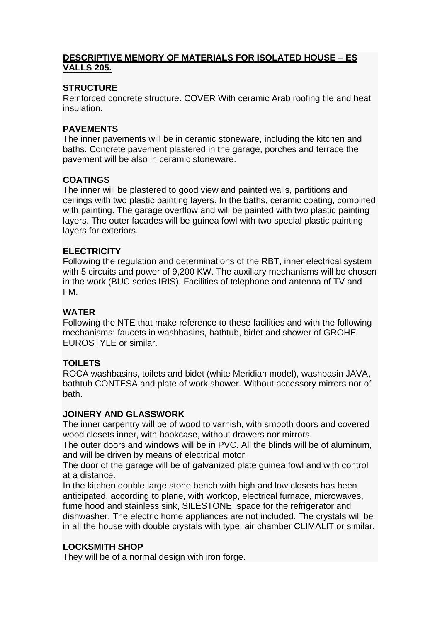### **DESCRIPTIVE MEMORY OF MATERIALS FOR ISOLATED HOUSE – ES VALLS 205.**

## **STRUCTURE**

Reinforced concrete structure. COVER With ceramic Arab roofing tile and heat insulation.

## **PAVEMENTS**

The inner pavements will be in ceramic stoneware, including the kitchen and baths. Concrete pavement plastered in the garage, porches and terrace the pavement will be also in ceramic stoneware.

# **COATINGS**

The inner will be plastered to good view and painted walls, partitions and ceilings with two plastic painting layers. In the baths, ceramic coating, combined with painting. The garage overflow and will be painted with two plastic painting layers. The outer facades will be guinea fowl with two special plastic painting layers for exteriors.

### **ELECTRICITY**

Following the regulation and determinations of the RBT, inner electrical system with 5 circuits and power of 9,200 KW. The auxiliary mechanisms will be chosen in the work (BUC series IRIS). Facilities of telephone and antenna of TV and FM.

### **WATER**

Following the NTE that make reference to these facilities and with the following mechanisms: faucets in washbasins, bathtub, bidet and shower of GROHE EUROSTYLE or similar.

## **TOILETS**

ROCA washbasins, toilets and bidet (white Meridian model), washbasin JAVA, bathtub CONTESA and plate of work shower. Without accessory mirrors nor of bath.

#### **JOINERY AND GLASSWORK**

The inner carpentry will be of wood to varnish, with smooth doors and covered wood closets inner, with bookcase, without drawers nor mirrors.

The outer doors and windows will be in PVC. All the blinds will be of aluminum, and will be driven by means of electrical motor.

The door of the garage will be of galvanized plate guinea fowl and with control at a distance.

In the kitchen double large stone bench with high and low closets has been anticipated, according to plane, with worktop, electrical furnace, microwaves, fume hood and stainless sink, SILESTONE, space for the refrigerator and dishwasher. The electric home appliances are not included. The crystals will be in all the house with double crystals with type, air chamber CLIMALIT or similar.

#### **LOCKSMITH SHOP**

They will be of a normal design with iron forge.